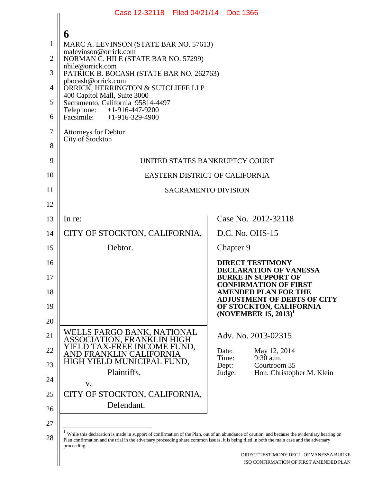|    | Case 12-32118 Filed 04/21/14 Doc 1366                                                                                                                                                                                                                                                                          |                                                                                   |  |  |
|----|----------------------------------------------------------------------------------------------------------------------------------------------------------------------------------------------------------------------------------------------------------------------------------------------------------------|-----------------------------------------------------------------------------------|--|--|
|    |                                                                                                                                                                                                                                                                                                                |                                                                                   |  |  |
| 1  | 6<br>MARC A. LEVINSON (STATE BAR NO. 57613)                                                                                                                                                                                                                                                                    |                                                                                   |  |  |
| 2  | malevinson@orrick.com<br>NORMAN C. HILE (STATE BAR NO. 57299)                                                                                                                                                                                                                                                  |                                                                                   |  |  |
| 3  | nhile@orrick.com<br>PATRICK B. BOCASH (STATE BAR NO. 262763)                                                                                                                                                                                                                                                   |                                                                                   |  |  |
| 4  | pbocash@orrick.com<br>ORRICK, HERRINGTON & SUTCLIFFE LLP                                                                                                                                                                                                                                                       |                                                                                   |  |  |
| 5  | 400 Capitol Mall, Suite 3000<br>Sacramento, California 95814-4497                                                                                                                                                                                                                                              |                                                                                   |  |  |
| 6  | Telephone:<br>+1-916-447-9200<br>Facsimile: $+1-916-329-4900$                                                                                                                                                                                                                                                  |                                                                                   |  |  |
| 7  | <b>Attorneys for Debtor</b>                                                                                                                                                                                                                                                                                    |                                                                                   |  |  |
| 8  | City of Stockton                                                                                                                                                                                                                                                                                               |                                                                                   |  |  |
| 9  | UNITED STATES BANKRUPTCY COURT                                                                                                                                                                                                                                                                                 |                                                                                   |  |  |
| 10 | EASTERN DISTRICT OF CALIFORNIA                                                                                                                                                                                                                                                                                 |                                                                                   |  |  |
| 11 | <b>SACRAMENTO DIVISION</b>                                                                                                                                                                                                                                                                                     |                                                                                   |  |  |
| 12 |                                                                                                                                                                                                                                                                                                                |                                                                                   |  |  |
| 13 | In re:                                                                                                                                                                                                                                                                                                         | Case No. 2012-32118                                                               |  |  |
| 14 | CITY OF STOCKTON, CALIFORNIA,                                                                                                                                                                                                                                                                                  | D.C. No. OHS-15                                                                   |  |  |
| 15 | Debtor.                                                                                                                                                                                                                                                                                                        | Chapter 9                                                                         |  |  |
| 16 |                                                                                                                                                                                                                                                                                                                | <b>DIRECT TESTIMONY</b><br><b>DECLARATION OF VANESSA</b>                          |  |  |
| 17 |                                                                                                                                                                                                                                                                                                                | <b>BURKE IN SUPPORT OF</b><br><b>CONFIRMATION OF FIRST</b>                        |  |  |
| 18 |                                                                                                                                                                                                                                                                                                                | <b>AMENDED PLAN FOR THE</b><br><b>ADJUSTMENT OF DEBTS OF CITY</b>                 |  |  |
| 19 |                                                                                                                                                                                                                                                                                                                | OF STOCKTON, CALIFORNIA<br>(NOVEMBER 15, 2013) <sup>1</sup>                       |  |  |
| 20 |                                                                                                                                                                                                                                                                                                                |                                                                                   |  |  |
| 21 | WELLS FARGO BANK, NATIONAL<br>ASSOCIATION, FRANKLIN HIGH                                                                                                                                                                                                                                                       | Adv. No. 2013-02315                                                               |  |  |
| 22 | YIELD TAX-FREE INCOME FUND,<br>AND FRANKLIN CALIFORNIA                                                                                                                                                                                                                                                         | Date:<br>May 12, 2014<br>Time:<br>$9:30$ a.m.                                     |  |  |
| 23 | HIGH YIELD MUNICIPAL FUND,<br>Plaintiffs,                                                                                                                                                                                                                                                                      | Courtroom 35<br>Dept:<br>Judge:<br>Hon. Christopher M. Klein                      |  |  |
| 24 | V.                                                                                                                                                                                                                                                                                                             |                                                                                   |  |  |
| 25 | CITY OF STOCKTON, CALIFORNIA,                                                                                                                                                                                                                                                                                  |                                                                                   |  |  |
| 26 | Defendant.                                                                                                                                                                                                                                                                                                     |                                                                                   |  |  |
| 27 |                                                                                                                                                                                                                                                                                                                |                                                                                   |  |  |
| 28 | $1$ While this declaration is made in support of confirmation of the Plan, out of an abundance of caution, and because the evidentiary hearing on<br>Plan confirmation and the trial in the adversary proceeding share common issues, it is being filed in both the main case and the adversary<br>proceeding. |                                                                                   |  |  |
|    |                                                                                                                                                                                                                                                                                                                | DIRECT TESTIMONY DECL. OF VANESSA BURKE<br>ISO CONFIRMATION OF FIRST AMENDED PLAN |  |  |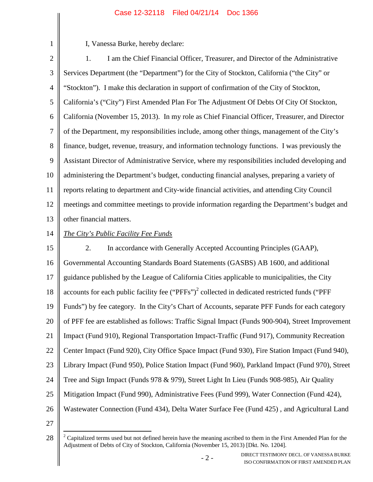I, Vanessa Burke, hereby declare:

2 3 4 5 6 7 8 9 10 11 12 13 1. I am the Chief Financial Officer, Treasurer, and Director of the Administrative Services Department (the "Department") for the City of Stockton, California ("the City" or "Stockton"). I make this declaration in support of confirmation of the City of Stockton, California's ("City") First Amended Plan For The Adjustment Of Debts Of City Of Stockton, California (November 15, 2013). In my role as Chief Financial Officer, Treasurer, and Director of the Department, my responsibilities include, among other things, management of the City's finance, budget, revenue, treasury, and information technology functions. I was previously the Assistant Director of Administrative Service, where my responsibilities included developing and administering the Department's budget, conducting financial analyses, preparing a variety of reports relating to department and City-wide financial activities, and attending City Council meetings and committee meetings to provide information regarding the Department's budget and other financial matters.

14

1

# *The City's Public Facility Fee Funds*

15 16 17 18 19 20 21 22 23 24 25 26 2. In accordance with Generally Accepted Accounting Principles (GAAP), Governmental Accounting Standards Board Statements (GASBS) AB 1600, and additional guidance published by the League of California Cities applicable to municipalities, the City accounts for each public facility fee  $("PFFs")^2$  collected in dedicated restricted funds ("PFF Funds") by fee category. In the City's Chart of Accounts, separate PFF Funds for each category of PFF fee are established as follows: Traffic Signal Impact (Funds 900-904), Street Improvement Impact (Fund 910), Regional Transportation Impact-Traffic (Fund 917), Community Recreation Center Impact (Fund 920), City Office Space Impact (Fund 930), Fire Station Impact (Fund 940), Library Impact (Fund 950), Police Station Impact (Fund 960), Parkland Impact (Fund 970), Street Tree and Sign Impact (Funds 978 & 979), Street Light In Lieu (Funds 908-985), Air Quality Mitigation Impact (Fund 990), Administrative Fees (Fund 999), Water Connection (Fund 424), Wastewater Connection (Fund 434), Delta Water Surface Fee (Fund 425) , and Agricultural Land

27

<sup>28</sup>  $2^2$  Capitalized terms used but not defined herein have the meaning ascribed to them in the First Amended Plan for the Adjustment of Debts of City of Stockton, California (November 15, 2013) [Dkt. No. 1204].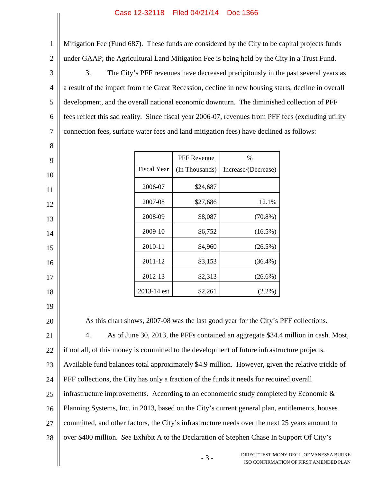Mitigation Fee (Fund 687). These funds are considered by the City to be capital projects funds under GAAP; the Agricultural Land Mitigation Fee is being held by the City in a Trust Fund.

3 4 5 6 7 3. The City's PFF revenues have decreased precipitously in the past several years as a result of the impact from the Great Recession, decline in new housing starts, decline in overall development, and the overall national economic downturn. The diminished collection of PFF fees reflect this sad reality. Since fiscal year 2006-07, revenues from PFF fees (excluding utility connection fees, surface water fees and land mitigation fees) have declined as follows:

|                    | <b>PFF Revenue</b> | $\frac{0}{0}$       |
|--------------------|--------------------|---------------------|
| <b>Fiscal Year</b> | (In Thousands)     | Increase/(Decrease) |
| 2006-07            | \$24,687           |                     |
| 2007-08            | \$27,686           | 12.1%               |
| 2008-09            | \$8,087            | $(70.8\%)$          |
| 2009-10            | \$6,752            | $(16.5\%)$          |
| 2010-11            | \$4,960            | $(26.5\%)$          |
| 2011-12            | \$3,153            | $(36.4\%)$          |
| 2012-13            | \$2,313            | $(26.6\%)$          |
| 2013-14 est        | \$2,261            | $(2.2\%)$           |

18 19

1

2

8

9

10

11

12

13

14

15

16

17

20

As this chart shows, 2007-08 was the last good year for the City's PFF collections.

21 22 23 24 25 26 27 28 4. As of June 30, 2013, the PFFs contained an aggregate \$34.4 million in cash. Most, if not all, of this money is committed to the development of future infrastructure projects. Available fund balances total approximately \$4.9 million. However, given the relative trickle of PFF collections, the City has only a fraction of the funds it needs for required overall infrastructure improvements. According to an econometric study completed by Economic  $\&$ Planning Systems, Inc. in 2013, based on the City's current general plan, entitlements, houses committed, and other factors, the City's infrastructure needs over the next 25 years amount to over \$400 million. *See* Exhibit A to the Declaration of Stephen Chase In Support Of City's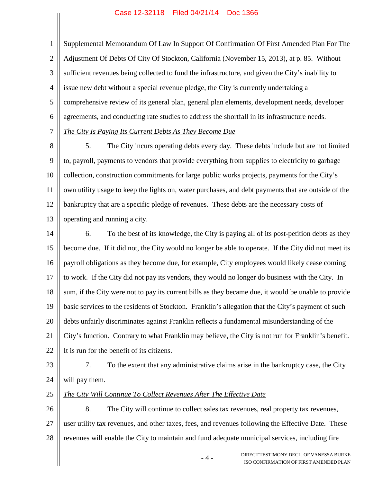1 2 3 4 5 6 7 Supplemental Memorandum Of Law In Support Of Confirmation Of First Amended Plan For The Adjustment Of Debts Of City Of Stockton, California (November 15, 2013), at p. 85. Without sufficient revenues being collected to fund the infrastructure, and given the City's inability to issue new debt without a special revenue pledge, the City is currently undertaking a comprehensive review of its general plan, general plan elements, development needs, developer agreements, and conducting rate studies to address the shortfall in its infrastructure needs. *The City Is Paying Its Current Debts As They Become Due*

8 9 10 11 12 13 5. The City incurs operating debts every day. These debts include but are not limited to, payroll, payments to vendors that provide everything from supplies to electricity to garbage collection, construction commitments for large public works projects, payments for the City's own utility usage to keep the lights on, water purchases, and debt payments that are outside of the bankruptcy that are a specific pledge of revenues. These debts are the necessary costs of operating and running a city.

14 15 16 17 18 19 20 21 22 6. To the best of its knowledge, the City is paying all of its post-petition debts as they become due. If it did not, the City would no longer be able to operate. If the City did not meet its payroll obligations as they become due, for example, City employees would likely cease coming to work. If the City did not pay its vendors, they would no longer do business with the City. In sum, if the City were not to pay its current bills as they became due, it would be unable to provide basic services to the residents of Stockton. Franklin's allegation that the City's payment of such debts unfairly discriminates against Franklin reflects a fundamental misunderstanding of the City's function. Contrary to what Franklin may believe, the City is not run for Franklin's benefit. It is run for the benefit of its citizens.

- 23 24 7. To the extent that any administrative claims arise in the bankruptcy case, the City will pay them.
- 25

# *The City Will Continue To Collect Revenues After The Effective Date*

26 27 28 8. The City will continue to collect sales tax revenues, real property tax revenues, user utility tax revenues, and other taxes, fees, and revenues following the Effective Date. These revenues will enable the City to maintain and fund adequate municipal services, including fire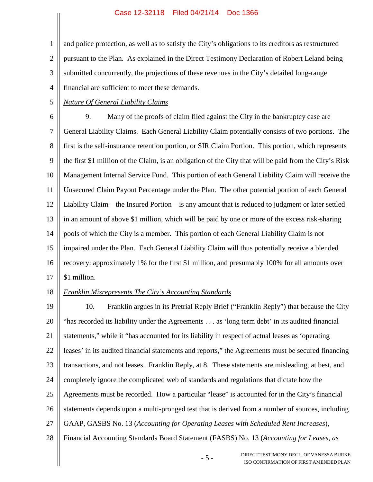1 2 3 4 and police protection, as well as to satisfy the City's obligations to its creditors as restructured pursuant to the Plan. As explained in the Direct Testimony Declaration of Robert Leland being submitted concurrently, the projections of these revenues in the City's detailed long-range financial are sufficient to meet these demands.

5 *Nature Of General Liability Claims*

6 7 8 9 10 11 12 13 14 15 16 17 9. Many of the proofs of claim filed against the City in the bankruptcy case are General Liability Claims. Each General Liability Claim potentially consists of two portions. The first is the self-insurance retention portion, or SIR Claim Portion. This portion, which represents the first \$1 million of the Claim, is an obligation of the City that will be paid from the City's Risk Management Internal Service Fund. This portion of each General Liability Claim will receive the Unsecured Claim Payout Percentage under the Plan. The other potential portion of each General Liability Claim—the Insured Portion—is any amount that is reduced to judgment or later settled in an amount of above \$1 million, which will be paid by one or more of the excess risk-sharing pools of which the City is a member. This portion of each General Liability Claim is not impaired under the Plan. Each General Liability Claim will thus potentially receive a blended recovery: approximately 1% for the first \$1 million, and presumably 100% for all amounts over \$1 million.

18

## *Franklin Misrepresents The City's Accounting Standards*

19 20 21 22 23 24 25 26 27 28 10. Franklin argues in its Pretrial Reply Brief ("Franklin Reply") that because the City "has recorded its liability under the Agreements . . . as 'long term debt' in its audited financial statements," while it "has accounted for its liability in respect of actual leases as 'operating leases' in its audited financial statements and reports," the Agreements must be secured financing transactions, and not leases. Franklin Reply, at 8. These statements are misleading, at best, and completely ignore the complicated web of standards and regulations that dictate how the Agreements must be recorded. How a particular "lease" is accounted for in the City's financial statements depends upon a multi-pronged test that is derived from a number of sources, including GAAP, GASBS No. 13 (*Accounting for Operating Leases with Scheduled Rent Increases*), Financial Accounting Standards Board Statement (FASBS) No. 13 (*Accounting for Leases, as*